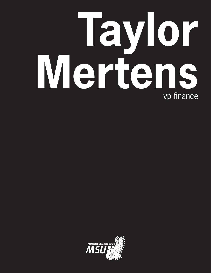## **Taylor Mertens** vp finance

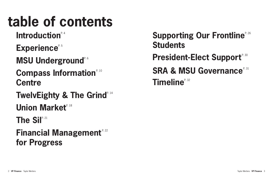## **Supporting Our Frontline**<sup>P. 26</sup>

**Compass Information**<sup> $R, 10$ </sup> **Centre** 

**TwelvEighty & The Grind<sup>® 14</sup>** 

**Union Market**<sup>*e. 18*</sup>

**The Sil**<sup>r. 21</sup>

## **table of contents**

## Introduction<sup>®4</sup>

Experience<sup>R.5</sup>

**MSU Underground<sup>R6</sup>** 

**Financial Management**<sup>P. 22</sup> **for Progress**

**Students President-Elect Support**<sup>P. 30</sup> **SRA & MSU Governance**<sup>P.31</sup> **Timeline**<sup>P. 32</sup>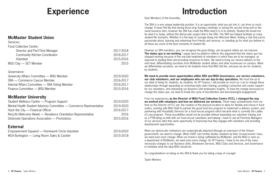### **McMaster Student Union**

Services:

| <b>Food Collective Centre:</b>                 |           |
|------------------------------------------------|-----------|
| Director and Part-Time Manager                 | 2017-2018 |
| <b>Community Kitchen Coordinator</b>           | 2016-2017 |
| Volunteer                                      | 2015-2016 |
| MSU Clay — SET Member                          | 2015      |
| Governance:                                    |           |
| University Affairs Committee - MSU Member      | 2019-2020 |
| <b>SRA</b> — Commerce Caucus Member            | 2016-2017 |
| Internal Affairs Committee - SRA Voting Member | 2016-2017 |
| Finance Committee — MSU Member                 | 2015-2016 |

### **McMaster University**

| <b>F</b> xternal                                                   |           |
|--------------------------------------------------------------------|-----------|
| DeGroote Operations Association — Promotions                       | 2015-2016 |
| ResLife (Welcome Week) — Residence Orientation Representative      | 2016      |
| Hack the City — Financial Officer                                  | 2016-2017 |
| Mental Health Student Advisory Committee — Commerce Representative | 2019-2020 |
| Student Wellness Centre — Program Support                          | 2019-2020 |

### **External**

| Empowerment Squared — Homework Circle Volunteer          | 2019-2020 |
|----------------------------------------------------------|-----------|
| <b>IKEA Burlington — Living Room Sales &amp; Cashier</b> | 2015-2018 |

## **Experience**

Dear Members of the Assembly,

The SRA is a very unique leadership position. It is an opportunity; what you put into it, can drive so much change. It never felt like that during those long Sundays meetings or during the second straw poll on the same business item, however the SRA has made the MSU what it is in its entirety. Student life would not be what it is today, without the democratic project that is the SRA. The SRA has helped facilitate so many student life moments. Whether it is the leap of courage diving into Welcome Week, finding a club that you're passionate about, learning and unlearning from friends and services, or standing up for what you believe in; all these are some of the best moments of student life.

However as SRA members, you can recognize the good things, yet recognize where we can improve. **The status quo is not working.** I argue (and my platform reflects this argument) that the status quo has stopped working because of the one-side treatment of volunteers in which they are to be managed, as opposed to leading them and providing resources to them. We need to bring our service delivery to the next level, differentiating ourselves from McMaster student affairs and other businesses on campus. When we differentiate ourselves, we need to let students know that MSU did this, because we are for students, by students.

**We need to provide more opportunities within SRA and MSU Governance, our service volunteers, our club volunteers, and our employees who run our day-to-day operations.** We must live up to our ideal of being for students, by students. As VP Finance, I will provide as much as I can to change these relationships through expanding on workshop-style clubs training, providing connection and career support for our volunteers, and unleashing our Business Unit employees insights. To have the change necessary to change the status quo, we need to break the cycle of low-retention and low-meaningful engagement.

From my experiences **as the Director of MSU Food Collective Centre (FCC), I changed the way we worked with volunteers and how we delivered our services.** Three major achievements from my time as the Director of FCC are: the creation of the physical location to allow for flexible and choice in food orders, working with MSU Staff to partner the good food box program to implement a delivery system, and partnering with Hospitality Services for a food rescue program which became what is currently the Ladles of Love program. These possibilities would not be possible without expanding our volunteer training and as a PTM being on-shift with our food rescue volunteers and helping. I want to see all Part-time Managers of our services take that same opportunity of improving how they engage with volunteers and providing development opportunities.

When our democratic institutions are systematically attacked (through an overreach of the Ontario government), we need to change. When OSAP cuts further divides students by their socioeconomic class, we need even more change. When our brand is being outflanked by McMaster, and the MSU is seen as a department of McMaster, we need even more change. As VP Finance, I hope to be one of the many necessary changes to our Business Units, Breakeven Services, MSU Clubs and Services, and Governance to revitalize what the ideal MSU should be.

So congratulations on being on the SRA & thank you for taking a leap of courage!

Taylor Mertens

## **Introduction**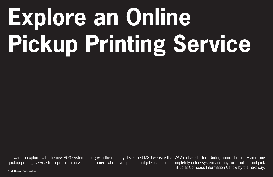# **Explore an Online Pickup Printing Service**

I want to explore, with the new POS system, along with the recently developed MSU website that VP Alex has started, Underground should try an online pickup printing service for a premium, in which customers who have special print jobs can use a completely online system and pay for it online, and pick it up at Compass Information Centre by the next day.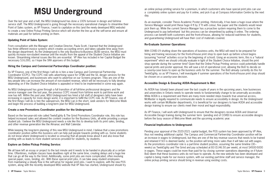## **MSU Underground**

Over the last year and a half, the MSU Underground has done a 100% turnover in design and full-time service staff. The MSU Underground is going through the necessary operational changes to streamline their Point of Sales system, as VP Finance, I want to capitalize on this (and the newly developed MSU website) to create a new Online Pickup Printing Service which will shorten the line up at the self-serve and ensure all materials are paid for before printing on them.

#### **Updating Point of Sales System:**

From consultation with the Manager and Creative Director, Paula Scott, I learned that the Underground has three different invoice systems which creates accounting errors and takes valuable time away from the design department. As the Underground is the only Business-to-Business (B2B) service, the MSU must quickly increase non-student revenue until the results from the appeal of the Student Choice Initiative are known. Streamlining internal issues like this are essential. VP Alex has included in her Capital Budget the necessary \$16,000, so I hope the SRA approves of this budget.

#### **Hiring the Campus and Commercial Partnerships Coordinator position:**

As VP Finance, one of the first things I will do is hire a new Campus and Commercial Partnership Coordinator (CCPC). The CCPC role sells advertising space for CFMU and the Sil, design services for the MSU Underground, and businesses who want to advertise on our Screens program. They are one of the key people who can increase the amount of non-student revenue, which will be necessary to fully develop depending on if the Student Choice Initiative is appealed or tried to be implemented in some way again.

As MSU Underground has gone through a full transition of all full-time professional designers and the service manager over the last year, the previous CCPC moved from full-time work to part-time work and now has left. Within the past year, MSU Underground has hired a full staff of designers (who have been increasing in capacity for more design work), it is important to fulfill the CCPC role. As VP Finance, one of the first things I will do is hire the salesperson, the MSU can in the short, seek vendors for Welcome Week and begin the process of building a long-term plan for MSU Underground.

#### **Create a new Promotions Coordinator position for the Underground:**

Based on the two-year-old role called TwelvEighty & The Grind Promotions Coordinator role, this role has helped increased sales and allowed the content creation for the Business Units, all while providing a unique student job. I believe the MSU Underground needs a role like this to develop both its print sales, binding, and other revenue generation like the Almanac and Wall Calendar.

While keeping the long-term planning of this new MSU Underground in mind, I believe that a new promotions coordinator position within this business unit can help pull people towards printing with us. Some students do not know where Underground is located so ensuring that all people know about it and also know that printing with us leads to more student services provided for students, by students.

#### **Explore an Online Pickup Printing Service:**

We all have left an essay or project to the last minute and it needs to be handed in physically at a certain time. Oftentimes, multiple classes have deadlines right at the same time, creating delays and a huge line that can go all the way to the Grind. Additionally, some print jobs are more complicated; often involving special paper, sizes, binding, etc. With these special print jobs, it can take away student employees from maintaining a steady flow in the self-serve for regular print jobs. I want to explore, with the new POS system, along with the recently developed MSU website that VP Alex has started, Underground should try an online pickup printing service for a premium, in which customers who have special print jobs can use a completely online system and pay for it online, and pick it up at Compass Information Centre by the next

As an example, consider Thesis Academic Poster printing. Historically, it has been a huge issue where the Service Manager would print these huge 4 ft by 3' ft with colour, fine paper and the students would never pick them up. While the current Service Manager has a proactive system requiring them to come to the Underground to pay beforehand but this process can be streamlined by putting it online. The ordering process can benefit both customers and the front-of-house, allowing for reduced wait-times for students, and guaranteeing Underground will have their cost of materials covered.

#### **Re-Evaluate Summer Operations:**

With COVID-19 shutting down the operations of business units, the MSU will need to be prepared for hiring and training necessary for the front-of-house print shop to open back up before school begins (assuming "normal" activities occur by the beginning of school). Using an economic term, this is a "natural experiment" which we should critically evaluate in light of the Student Choice Initiative, should the print shop operate during the summer time? Given that the Online Pickup Printing service could potentially handle special prints and poster approval, this will save a lot of operational cost, allowing the BoD to decide on a case-by-case basis to open up the business units for the summer. The BoD already currently do this for TwelvEighty, so as VP Finance, I will investigate if summer operations of the front-of-house print shop should be chosen on a case-by-case decision.

#### **Accessible Design & Ensuring AODA-Requirement Is Met:**

As AODA has (slowly) been phased over the last couple of years in the upcoming years, how businesses and universities in Ontario needs to operate needs to fundamentally change to be universally accessible. While AODA is a requirement and there are many more needed steps towards true universal access, McMaster is legally required to communicate needs to ensure accessibility in design. As the Underground works with certain McMaster departments, it is beneficial for our designers to have AODA and accessible design training to ensure our clients meet their moral and legal responsibility.

As VP Finance, I will work with Underground to ensure that the designers receive AODA and Universal Accessible Design training during the summer term (pending end of COVID) to ensure accessible designs before the busy season of Welcome Week and the upcoming academic year.

### **Financial Implications to Underground:**

Pending your approval of the 2020-2021 capital budget, the POS system has been approved by VP Alex, thus not needing additional capital. The Campus and Commercial Partnership Coordinator position will be an increase in wages to Underground, but they are one of the key revenue sources that needs to be trained and retained if SCI is deemed lawful, so the position will bring more sales than it will take out with wages. As the promotions coordinator role is a part-time student position, assuming the same timeline (30~ weeks) as TwelvEighty and The Grind and pay scheduled at B3 (\$146.50 per week), at most \$4500-5000 in wages. These wages could be more than paid for by closing summer operations depending on if future BoD deem that these business units do not have to operate. As the new website has been developed and capital is being made for our invoice system, with our existing part-time staff and service manager, the online pickup printing service should bring in revenue using existing costs.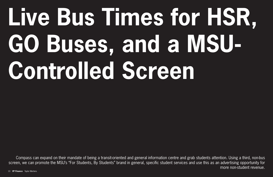# **Live Bus Times for HSR, GO Buses, and a MSU-Controlled Screen**

Compass can expand on their mandate of being a transit-oriented and general information centre and grab students attention. Using a third, non-bus screen, we can promote the MSU's "For Students, By Students" brand in general, specific student services and use this as an advertising opportunity for more non-student revenue.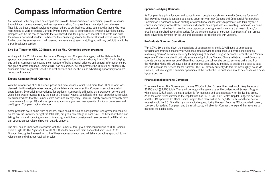## **Compass Information Centre**

As Compass is the only place on campus that provides transit-orientated information, provides a service through in-person engagement, and has a prime location, Compass has a natural pull on customers. Thus it is the best situated service to connect others to our business units, connect with those who need help getting to work or getting Campus Events tickets, and to commercialize through advertising sales. Compass can be the tool to promote the MSU brand and, for a price, can market to students and push them to our partnered vendors. To become the connecting service for the MSU, it will involve low capital funding over the summer which will open up new revenue streams, catching up with any deficit it runs to be a true breakeven service.

#### **Live Bus Times for HSR, GO Buses, and an MSU-Controlled screen program:**

Working with the VP Education, the General Manager, and Compass Manager, I will facilitate with the appropriate government bodies in order to take busing information and display it in MUSC. By displaying bus timing, Compass can expand their mandate of being a transit-oriented and general information centre and grab students attention. Using a third, non-bus screen, we can promote the MSU's "For Students, By Students" brand in general, specific student services and use this as an advertising opportunity for more non-student revenue.

#### **Expand Compass Retail Offerings:**

With the introduction of NOW Prepaid phone and data services (which sold more than 800% of what was planned), I will investigate other needed, student-demanded services that Compass can act as a retail operation for. By providing convenience for students, Compass is still acting as a breakeven service and would help create revenue to pay the cost of Compass' wages. Specifically, the retail operation will provide premium products that the Campus store does not already carry. Premium, quality products obviously have more revenue (thus profit) and take up less space since you need less quantity of units to break even and profit, given Compass' lack of storage.

Some products could come from sponsors, which could be sold on consignment. Consignment means we do not buy the inventory nor get the total sale, but get a percentage of each sale. The benefit of that is not taking the risk and spending money on inventory, in which our consignment revenue would be little risk and can strengthen our relationships with outside vendors.

The MSU has an important relationship with the Campus Store, given their contributions to MSU Campus Events' Light Up The Night and towards MUSC vendor sales with their discounted shirt sales. As VP Finance, I recognize the need for both of these necessary funds, and will take a proactive approach to our relationship and what our retail will provide.

### **Sponsor-Readying Compass:**

As Compass is a prime location and space in which people naturally engage with Compass for any of their travelling needs, it can also be a sales opportunity for our Campus and Commercial Partnerships Coordinator. If someone with an existing or a brand-new vendor wants to promote (and thus pay for) a coupon specifically for McMaster students and people on campus who are traveling, Compass is a prime service to do it. Whether it is handing out coupons, promoting a vendor service that needs it, and/or creating standardized advertising scripts for the vendor's goods or services, Compass staff can create more advertising revenue for the unit and deepening our relationship with vendors.

#### **Re-Evaluate Summer Operations:**

With COVID-19 shutting down the operations of business units, the MSU will need to be prepared for hiring and training necessary for Compass' retail service to open back up before school begins (assuming "normal" activities occur by the beginning of school). Using an economic term, this is a "natural experiment" which we should critically evaluate in light of the Student Choice Initiative, should Compass operate during the summer time? Given that students can still receive presto services online and from the Metrolinx Kiosk, this will save a lot of operational cost, allowing the BoD to decide on a case-by-case basis to open up the service for the summer. The BoD already currently do this for TwelvEighty, so as VP Finance, I will investigate if summer operations of the front-of-house print shop should be chosen on a caseby-case decision.

#### **Financial Implications to Compass:**

To achieve the two Bus Screens and the one MSU-Controlled Screen, their cost would likely be around \$3250 each (\$9,750 total). These will be roughly the same size as the Underground Screens Program which costs \$2833 each, the extra budget is for mounting and data necessary for the live bus times. As of the audit 2019 statement, the capital fund has \$633,041. If VP Scott's Capital Budget is accurate and the SRA approves VP Alex's Capita Budget, then there will be \$277,846, so this additional capital request would be 3.51% and is my main capital request during the year. Both the MSU-controlled screen, sponsorship-readying Compass, and the retail space, will allow for Compass to expand their revenue to make up the capital cost.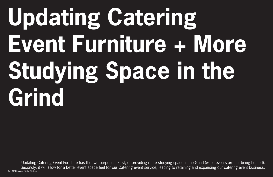# **Updating Catering Event Furniture + More Studying Space in the Grind**

14 **VP Finance** Taylor Mertens Taylor Mertens **VP Finance** 15 Updating Catering Event Furniture has the two purposes: First, of providing more studying space in the Grind (when events are not being hosted). Secondly, it will allow for a better event space feel for our Catering event service, leading to retaining and expanding our catering event business. 14 VP Finance Taylor Mertens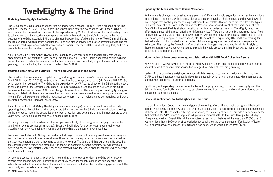## **TwelvEighty & The Grind**

#### **Updating TwelvEighty's Aesthetics**

The Grind has the main focus of capital funding and for good reason. From VP Tuba's creation of the The Grind (VP Finance 2017-2018), to Scott's investment in the catering event space (VP Finance 2018-2019), which would then be used for The Grind to be expanded on by VP Alex, to allow for the Grind seating space to take up come of the catering event space. Her efforts has reduced the deficit now and in the future because of the Grind expansion! All these changes however has left the uniformity of TwelvEighty dining as feeling out dated, which matters because the lunch and dinner service need to for creating service and feel like a uniformed experience, to both attract new customers, maintain relationships with regulars, and crosspromote between the Grind and TwelvEighty.

As VP Finance, I will task Gabby (TwelvEighty Restaurant Manager) to price out small but aesthetically appealing things like painting or vinyl coat all the tables to look like the Grind's dark wood colour, painting behind the bar to match the aesthetics of the bar renovation, and potentially a light dimmer that broke two years ago. Capital funding for this should be less than \$3000.

#### **Updating Catering Event Furniture + More Studying Space in the Grind**

The Grind has the main focus of capital funding and for good reason. From VP Tuba's creation of the The Grind (VP Finance 2017-2018), to Scott's investment in the catering event space (VP Finance 2018-2019), which would then be used for The Grind to be expanded on by VP Alex, to allow for the Grind seating space to take up come of the catering event space. Her efforts have reduced the deficit now and in the future because of the Grind expansion! All these changes however has left the uniformity of TwelvEighty dining as feeling out dated, which matters because the lunch and dinner service need to for creating service and feel like a uniformed experience, to both attract new customers, maintain relationships with regulars, and crosspromote between the Grind and TwelvEighty.

As VP Finance, I will task Gabby (TwelvEighty Restaurant Manager) to price out small but aesthetically appealing things like painting or vinyl coat all the tables to look like the Grind's dark wood colour, painting behind the bar to match the aesthetics of the bar renovation, and potentially a light dimmer that broke two years ago. Capital funding for this should be less than \$3000.

Updating Catering Event Furniture has the two purposes: First, of providing more studying space in the Grind (when events are not being hosted). Secondly, it will allow for a better event space feel for our Catering event service, leading to retaining and expanding the amount of events we have.

From my consultation with Gabby, the Restaurant Manager, the current catering event service is doing well and the business needs that revenue stream. However the catering tables and chairs are mismatched to the aesthetic customers want, they tend to gravitate towards The Grind and that experience. By updating the catering event furniture and matching it to the Grind aesthetic catering furniture, this will provide a better experience for catering event service and they will leave the space open for students when catering events are not running.

On average events run once a week which means that for the four other days, the Grind will effectively expand their seating available, leatding to more study space for students and more sales for the Grind. While this would not be a silver bullet for sales, this investment will allow the Grind to engage more with the community and provide a necessary third space.

#### **Updating the Menu with more Unique Variations**

As the menu is changed and tweaked every year, as VP Finance, I would argue for more creative variations to be added to the menu. While keeping classic and quick things like chicken fingers and power bowls, I would argue that TwelvEighty needs unique different taste palettes that are quite different from the typical La Piazza menu choice. Both La Piazza and the Phoenix, have about 40-45% of the same menu choices. TwelvEighty has solidified its strategic location as a dining experience, meaning TwelvEighty needs to offer more unique, dining food offering to differentiate itself. Take as just some brainstormed ideas: Fried Chicken and Waffles, Deep-fried Cauliflower, Burgers with different flavour profiles like onion rings or blue cheese or grilled pineapple or secret sauce, etc. These options require very little additional training for that extra step but that is what is expected of sit-down dining experiences (and we can charge a little bit extra too). Then, using the Promotions Coordinator role, I suggest we do something similar in style to those Instagram food videos where you go through the whole process in a highly cut way to launch some of these unique food menu items.

#### **More Ladles of Love programming in collaboration with MSU Food Collective Centre**

As VP Finance, I will work with the PTM of the Food Collective Centre and the Food and Beverage team to see if they want to expand their service line in regard to Ladles of Love programming.

Ladles of Love provides a unifying experience which is needed in our current political context and how OSAP cuts have impacted students. It allows for an event in which all can participate, which dampens the stigmatizing experience of using a food bank.

By allowing and expanding the amount of Ladles of Love programming, it provides TwelvEighty and The Grind with more foot traffic and familiarity but also maintains it as a space in which all are welcome and we can all eat together as equals.

#### **Financial Implications to TwelvEighty and The Grind:**

Like the Promotions Coordinator role and general marketing efforts, the aesthetic designs will help pull people by checking out the new aesthetic and retain people, yet it is hard to trace the direct increase in all of these aspects. The aesthetic catering event space, as previously stated, will provide a better experience that matches the \$125 room charge and will provide additional sales to the Grind through the 3-4 days of expanded seating. Overall this will be a long-term asset which I believe will be less than \$5000 over 5 years, or less than \$1000/year of depreciation (depending on the account's useful life). Ladles of Love would cost whatever the charge is to make the free soup, which would not go over \$500.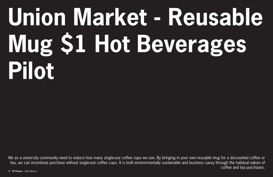# **Union Market - Reusable Mug \$1 Hot Beverages Pilot**

We as a university community need to reduce how many single-use coffee cups we use. By bringing in your own reusable mug for a discounted coffee or tea, we can incentivize purchase without single-use coffee cups. It is both environmentally sustainable and business savvy through the habitual nature of coffee and tea purchases.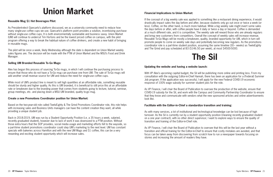## **Union Market**

#### **Reusable Mug \$1 Hot Beverages Pilot:**

As President-elect Giancarlo's platform discussed, we as a university community need to reduce how many single-use coffee cups we use. Giancarlo's platform point provides a solution, incentivizing purchase without single-use coffee cups. It is both environmentally sustainable and business savvy. Union Market (UM) will continue to undercut Tim Hortons and be the lowest priced coffee on campus, with the pilot program offering a way to break the habitual nature of coffee drinkers, and create a new habit of bringing in reusable mugs.

The pilot will be once a week, likely Wednesday although the date is dependent on Union Market weekly sales figures are. The decision will be made with the PTM of Union Market and the MSU's Food and Drink Manager.

While most of UM's product line is meant to sell high quantities at an affordable rate, something reusable should be sturdy and higher quality. As this is UM branded, it is beneficial to still price this at an affordable rate or breakeven due to the branding power that comes from students going to lecture, tutorial, seminar, group meetings, etc. and placing down a MSU UM branded, quality to-go mug.

#### **Selling UM Branded Reusable To-Go Mugs:**

Alex has begun this process of sourcing To-Go mugs, in which I will continue the purchasing process to ensure that those who do not have a To-Go mug can purchase one from UM. The sale of To-Go mugs will add another small revenue source for UM and reduce the need for single-use coffee cups.

With VP Alex's upcoming capital budget, the Sil will be publishing more online and printing less. From my consultation with the outgoing Editor-in-Chief Hannah, there has been an application for a (Federal) Summer Job program. If the application was successful, I will apply for the new Federal COVID-19 economic response of 100% wage subsidy for summer student jobs for the role.

#### **Create a new Promotions Coordinator position for Union Market:**

Based on the two-year-old role called TwelvEighty & The Grind Promotions Coordinator role, this role helps with increasing sales and Business Units managers can have the content creation they want, all while providing a unique student job.

Back in 2018-2019, UM was run by a Student Opportunity Position (i.e. a 35 hours a week, salaried, recently graduated student), however due to lack of work it was downsized to a PTM position. Without those extra hours that the SOP provides, social media usage and marketing efforts fell to the wayside, so a part-time student promotions coordinator could step UM's marketing to the next level. UM has constant specials with bakeries across Hamilton and with the new UM Mugs and \$1 coffee, this can be a very rewarding and exciting student opportunity which will increase sales.

### **The Sil**

#### **Updating the website and having a website launch:**

As VP Finance, I will chair the Board of Publication to oversee the production of the website, ensure that COVID-19 subsidy for the Sil, and work with the Campus and Community Partnership Coordinator to ensure that they know and communicate with vendors what the new sponsored articles and online advertisements look like.

#### **Facilitate with the Editor-in-Chief a standardize transition and training:**

As with many services, a lot of institutional and technological knowledge can be lost because of high turnover. As the Sil is currently run by a student opportunity position (meaning recently graduated student on a one year contract), with no other direct supervisor, I want to explore ways to ensure the quality of transition and training of the Editor-in-Chief role.

As VP Finance, I will chair the Board of Publication to oversee that this will be the last year without a transition and official training for the Editor-in-Chief to ensure that costly mistakes are avoided, and that focus can be taken away from discovering from scratch how to run a newspaper towards focusing on stories and increasing the amount of readers they have.

#### **Financial Implications to Union Market:**

If the concept of a big weekly sale was applied to something like a restaurant dining experience, it would drastically impact sales the day before and after, because students only go out once or twice a week (or less). Coffee, on the other hand, is much more habitual. While a big weekly sale might invert some sales the days before or after, with coffee people have it daily or twice a day or beyond. Coffee is demanded at a much different rate, and it is competitive. The weekly sale will reward those who are already regulars and bring new customers from competitors. Overall the concept of weekly sales will increase revenue. Reusable To-Go Mugs will be mostly a breakeven, quality, branded opportunity for UM, which in turn will promote people to come on weekly sale days and potentially becoming new regulars. As the promotions coordinator role is a part-time student position, assuming the same timeline (30 $\sim$  weeks) as TwelvEighty and The Grind and pay scheduled at B3 (\$146.50 per week), at most \$4500-5000.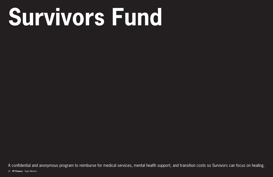# **Survivors Fund**

22 VP Finance Taylor Mertens A confidential and anonymous program to reimburse for medical services, mental health support, and transition costs so Survivors can focus on healing.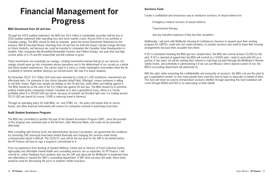## **Financial Management for Progress**

#### **MSU Divestment from Oil and Gas:**

Through the 2019 audited statement, the MSU has \$4.6 million in marketable securities (will be less in 2020 audited statement after operating loss and stock market crash). Around 4-6% of our portfolio is Canadian energy. The MSU should be lead by example, given the recent Divestment Statement by the previous SRA & Executive Board. Divesting from Oil and Gas for both the impact climate change will have on future students, and because we could be invested in companies like Canadian Solar (headquarters in Guelph). Take companies like Brookfield Renewable Partners and Pattern Energy; last year they had high current yields of 6.7% and 8% respectfully and will continue to grow.

These investments are essentially our savings, creating investment revenue that go to our services. Our savings should never go into companies whose operations are to the determinant of our society as a whole and future student experiences. You cannot study in a class or create meaningful communities when the air is polluted or extreme weather destroys our infrastructure. We owe it to future students.

By December 2019, \$12 Trillion \$US have been divested by a total of 1,200 institutions. Investments are effectively bets. For someone to buy stocks (besides Initial Public Offerings), means someone is willing to sell their shares. Right now, people are betting on the Oil and Gas, while others are betting against it. The MSU should be on the side of the \$12 trillion bet against Oil and Gas. The MSU should try to prioritize publicly traded green companies instead. Canadian oil is also a geopolitical issue, where it is mostly profitable when it is \$50-60 USD per barrel, because oil markets are flooded right now, it is trading around \$5-10 USD per barrel (of course, COVID is reducing travel in fairness).

Through an operating policy for both MSU, inc. and CFMU, inc., the policy will require that no stocks, bonds, and other financial instruments will connect to companies involved in extracting fossil fuels.

#### **Audit Student Assistance Program:**

The MSU has committed to another full year of the Student Assistance Program (SAP) , since the provider of this program was switched early in the fall term, after Welcome Week, and could not be promoted effectively.

After consulting with Victoria Scott, the Administrative Services Coordinator, we agreed that the conditions for promoting SAP previously have been limited financially and changing the services made timely communication about it difficult. The 2020/21 year will be the last year for the SAP to be piloted before the VP Finance will have to sign a long-term commitment to it.

From my experience from working at Student Wellness Centre and as Director of Food Collective Centre, high-quality and affordable mental health and counselling services are so important. As VP Finance, I will commit to: collect feedback from students who use the SAP and advocate for McMaster to implement their own alternative or expand the SWC's counselling department. If SAP does not pass the audit, these funds would be used for decreasing the price of students' health insurance.

#### **Survivors Fund:**

Create a confidential and anonymous way to reimburse survivors of sexual violence for:

Emergency medical services of sexual violence,

Trauma-based therapy,

and any transition expenses if they live their assaulters.

Additionally, I will work with McMaster Housing & Conferences Services to expand upon their existing program for LGBTQ+ youth who are made homeless, to include survivors who need to leave their housing arrangements because their assaulter lives there.

If SCI is reinstated (meaning the MSU get less student fees), the MSU will commit at least \$3,000 for the pilot. If SCI is rejected at appeal then the MSU will commit to a \$5000 pilot. I want to work with EIO as a partner in two ways; we will be seeking their interest in matching out pilot (through the McMaster's Women Safety Grant), and potentially in administering it if we can use Mosaic's direct deposit system (if not, the MSU's accounting department will administer it).

With this pilot, while respecting the confidentiality and anonymity of survivors, the MSU can use this pilot to get a quantitative number on how many people have used this fund to have us advocate on behalf of them. This fund will never be used to re-traumatize survivors whether through operating this fund (validation will come through WGEN and EIO) or on advocating on their behalf.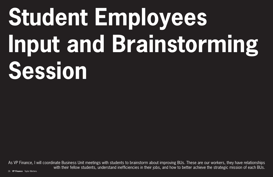# **Student Employees Input and Brainstorming Session**

As VP Finance, I will coordinate Business Unit meetings with students to brainstorm about improving BUs. These are our workers, they have relationships with their fellow students, understand inefficiencies in their jobs, and how to better achieve the strategic mission of each BUs.

26 **VP Finance** Taylor Mertens Taylor Mertens **VP Finance** 27 Mertens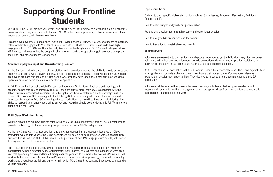## **Supporting Our Frontline Students**

#### **Student Employees Input and Brainstorming Session:**

As the Students Union is a democratic institution, which provides students the ability to create services and improve upon our service-delivery, the MSU needs to include the democratic spirit within our BUs. Student employees are hard-working and brilliant people who probably have ideas about how our Business Units operates or know inefficiencies in our day-to-day operations.

As VP Finance, I will coordinate late Fall term and very early Winter term, Business Unit meetings with students to brainstorm about improving BUs. These are our workers, they have relationships with their fellow students, understand inefficiencies in their jobs, and how to better achieve the strategic mission of each BUs. Without SCI (meaning with the full budget), I will ensure a paid critical, discussion-based brainstorming session. With SCI (meaning with cost-reductions), there will be time dedicated during their shifts to respond to an anonymous online survey and I would probably do one during mid-Fall Term and one during mid-Winter Term.

#### **MSU Clubs Workshop Series:**

With the creation of two new full-time roles within the MSU Clubs department, this will be a pivotal time to provide the building blocks for a heavily supported and active MSU Clubs department.

As the new Clubs Administrator position, and the Clubs Accounting and Accounts Receivables Clerk, everything we add this year to the Clubs department will be able to be reproduced without needing BoD support. Let us invest in MSU Clubs, which is a huge chunk of how MSU engages with people, with better training and de-silo clubs from each other.

The mandatory presidents training (which happens mid-September) tends to be a long day. From my consultation with the outgoing Clubs Administrator Aditi Sharma, she felt that club executives were tired and that spreading out any additional training over the year would be more effective. As VP Finance, I will work with the new Clubs roles and the AVP Finance to facilitate workshop training. These will be monthly workshops throughout the fall and winter term in which MSU Clubs President and Executives can attend on various subjects.

Our MSU Clubs, MSU Services volunteers, and our Business Unit Employees are what makes our students union excellent. They are our event planners, MUSC tables, peer supporters, cashiers, servers, and they deserve to have a say in how we run things.

This isn't even hyperbole, based on VP Alex's MSU Wide Feedback Survey, 65.32% of students sometimes, often, or heavily engage with MSU Clubs (in a survey of 975 students). Our business units have high engagement too: 53.80% use Union Market, 44.67% use TwelvEighty, and 38.62% use Underground. As VP Finance, I will ensure that the people in charge of our day-to-day operations get resources to improve their work and other students' experiences.

Topics could be on:

Training to their specific club-related topics such as: Social Issues, Academic, Recreation, Religious, Cultural specific

How to event budget and yearly budget workshop

Professional development through resume and cover letter session

How to navigate MSU resources and the website

How to transition for sustainable club growth

#### **VolunteerCon:**

Volunteers are essential to our services and day-to-day operations, yet the MSU does very little to connect volunteers with other services volunteers, provide professional development, or provide assistance in applying for executive or part-time positions or student opportunities positions.

As VP Finance and in coordination with the VP Admin, I would help coordinate a hands-on, one day volunteer training which will provide a chance to learn new topics that interest them. Our volunteers deserve professional development opportunities. They deserve to know other services and expand our MSU community.

Volunteers will learn from their peers who have previously volunteered before, give assistance with resume and cover letter writings, and give an extra step up for all our front-line volunteers to leadership opportunities in and outside the MSU.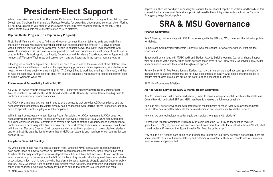## **President-Elect Support**

## **SRA & MSU Governance**

#### **Rep Suit Rental Program (Or a Rep Bursary Program):**

First, the VP Finance will have to find a laundry/dryer business that can take rep suits and wash them thoroughly enough. We have to test which paints can be used and if the smell of 7-10 days of sweat without washing your suit can be overcome. All this is pending COVID too. Next, I will coordinate with WWAC to coordinate the purchases of new general rep suits and communicate what types of paints can be used with them. By working with the Faculty Coordinator and Residence Coordinator, we can figure out soft numbers of Welcome Week reps, and survey how many are interested in the rep suit rental program.

If the logistics cannot be figured out, I believe we need to keep one of the main spirit of the platform idea: ensuring the financial barrier is reduced for reps. Repping provides a unique experience, as a student who needs to work it was costly to leave my job for 7-10 days (I had to work two evening shifts even), and then to have the cash flow to purchase the suit. I will examine creating a rep bursary to reduce the upfront cost of being a Welcome Week rep.

#### **Environmental Accessibility Audit of MUSC:**

As MUSC is owned by both McMaster and the MSU (along with minority ownership of McMaster parttime association), we will use the MUSC board and the MSU's University Student Centre Building Fund to implement accessibility recommendations.

As AODA is phasing into law, we might need to use a company that provides AODA compliance and the necessary legal documents. McMaster already has a relationship with Sterling Frazer Associates, and they seem to specialize in the legality of AODA compliance.

While I have taken overtures from Giancarlo's Platform and have weaved them throughout my platform (see: Divestment, Survivors Fund, using the Updated Website for expanding Underground services, Union Market \$1 hot beverage when you bring in your reusable mugs, long-term financial stability of the MSU, etc.). These points are a little more directly related to GC's platform.

While it might be necessary to use Sterling Frazer Associates for AODA requirement, AODA does not necessarily mean that universal accessibility will be achieved. I wish to strike a MSU Ad-Hoc Committee or a dual McMaster and MSU committee to oversee the cost of getting a disability-based organization to implement more necessary infrastructure projects to have MUSC be truly universal. From my consultation with incoming Maccess Director Calvin Jensen, we discussed the importance of having disabled students and/or a disability organization to ensure that all McMaster students and members of our community can access MUSC.

#### **Long-term Financial Stability:**

My whole platform has had this central point in mind. While the KPMG consultants' recommendations have some ideas on how to increase our revenue generation and cost-savings, these reports also tend to advocate for firing employees or whole departments. I do not think that massive cuts and layoffs are what is necessary for the survival of the MSU in the face of systematic attacks against democratic student associations. In fact, that is how they win, they dismantle our grassroots struggle against Ontario's policy failures. The MSU comes from students rising against these systems, and protecting and serving each other. I will consider developing contingency plans to ensure that if there is a recession and then

Why should a VP Finance care about this? (If doing the right thing to a fellow person is not enough, here are some benefits: it is about service delivery and retention of volunteers, these are people who our services want to serve and people that

depression, then we do what is necessary to stabilize the MSU and keep the essentials. Additionally, in this context, I will examine what federal and provincial benefits the MSU qualifies with, such as the Canadian Emergency Wage Subsidy policy.

#### **Finance Committee:**

As VP Finance, I will mandate with AVP Finance along with the SRA and MSU members the following policies for debate:

Campus and Commercial Partnership Policy (i.e. who can sponsor or advertise with us, what are the boundaries?)

Space Audit on campus with MUSC audit and Student Activity Building opening (i.e. What should happen with our spaces within MUSC, when some services move over to SAB? How can MSU services, MSU Clubs, and committees expand their work through more space?)

Review Bylaw 5 - 3. Fee Regulation And Review (i.e. how can we ensure good accounting and financial management in student groups that do not have accountants on salary, what should the process be to ensure that student groups are put on the path to good accounting practices?)

SLEF Idea Promotions & Vetting

### **Ad-Hoc Online Service Delivery & Mental Health Committee:**

As a VP Finance and just a concerned person, I want to strike a one-year Mental Health and Mental Illness Committee with dedicated SRA and MSU members to oversee the following questions:

How can MSU better serve those with deteriorated mental health or those living with significant mental illness? How can we better advocate for harm-reduction in our services and McMaster services?

How can we use technology to better equip our services to engage with students?

Oversee the Student Assistance Program (SAP) audit: does the SAP provide the function required given the costs? If yes, how can we even improve it even more to create the most value from it? If not, what should replace it? How can the Student Health Plan Fund be better used?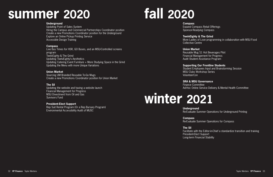## **summer 2020 fall 2020**

#### **Underground**

Updating Point of Sales System Hiring the Campus and Commercial Partnerships Coordinator position Create a new Promotions Coordinator position for the Underground Explore an Online Pickup Printing Service Accessible Design Training

#### **Compass**

Live Bus Times for HSR, GO Buses, and an MSU-Controlled screens program TwelvEighty & The Grind Updating TwelvEighty's Aesthetics Updating Catering Event Furniture + More Studying Space in the Grind Updating the Menu with more Unique Variations

#### **Union Market**

Sourcing UM Branded Reusable To-Go Mugs Create a new Promotions Coordinator position for Union Market

#### **The Sil**

Updating the website and having a website launch Financial Management for Progress MSU Divestment from Oil and Gas Survivors Fund

#### **President-Elect Support**

Rep Suit Rental Program (Or a Rep Bursary Program) Environmental Accessibility Audit of MUSC

**Compass**

Expand Compass Retail Offerings Sponsor-Readying Compass

**TwelvEighty & The Grind** Collective Centre

More Ladles of Love programming in collaboration with MSU Food

**Union Market** Reusable Mug \$1 Hot Beverages Pilot Financial Management for Progress Audit Student Assistance Program

**Supporting Our Frontline Students** Student Employees Input and Brainstorming Session

MSU Clubs Workshop Series VolunteerCon

Finance Committee

### **SRA & MSU Governance** Ad-Hoc Online Service Delivery & Mental Health Committee



## **winter 2021**

**Underground**

Re-Evaluate Summer Operations for Underground Printing

**Compass**

Re-Evaluate Summer Operations for Compass

**The Sil** Facilitate with the Editor-in-Chief a standardize transition and training President-Elect Support Long-term Financial Stability